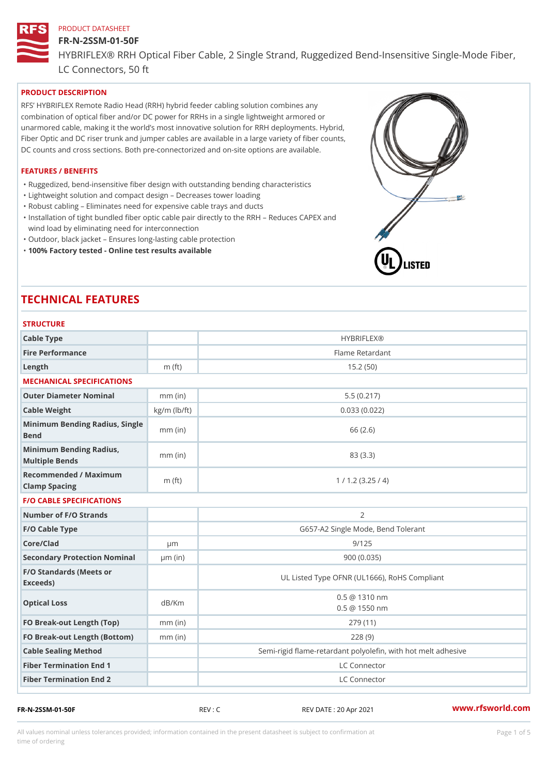#### FR-N-2SSM-01-50F

HYBRIFLEX® RRH Optical Fiber Cable, 2 Single Strand, Ruggedized Be

LC Connectors, 50 ft

# PRODUCT DESCRIPTION

RFS HYBRIFLEX Remote Radio Head (RRH) hybrid feeder cabling solution combines any combination of optical fiber and/or DC power for RRHs in a single lightweight armored or unarmored cable, making it the world s most innovative solution for RRH deployments. Hybrid, Fiber Optic and DC riser trunk and jumper cables are available in a large variety of fiber counts, DC counts and cross sections. Both pre-connectorized and on-site options are available.

#### FEATURES / BENEFITS

"Ruggedized, bend-insensitive fiber design with outstanding bending characteristics

- "Lightweight solution and compact design Decreases tower loading
- "Robust cabling Eliminates need for expensive cable trays and ducts
- "Installation of tight bundled fiber optic cable pair directly to the RRH Aeduces CAPEX and wind load by eliminating need for interconnection
- "Outdoor, black jacket Ensures long-lasting cable protection
- "100% Factory tested Online test results available

# TECHNICAL FEATURES

| <b>STRUCTURE</b>                                  |                    |                                                         |  |  |  |
|---------------------------------------------------|--------------------|---------------------------------------------------------|--|--|--|
| Cable Type                                        |                    | <b>HYBRIFLEX®</b>                                       |  |  |  |
| Fire Performance                                  |                    | Flame Retardant                                         |  |  |  |
| $L$ ength                                         | $m$ (ft)           | 15.2(50)                                                |  |  |  |
| MECHANICAL SPECIFICATIONS                         |                    |                                                         |  |  |  |
| Outer Diameter Nominal                            | $mm$ (in)          | 5.5(0.217)                                              |  |  |  |
| Cable Weight                                      | $kg/m$ ( $lb/ft$ ) | 0.033(0.022)                                            |  |  |  |
| Minimum Bending Radius, Single<br>Bend            |                    | 66 (2.6)                                                |  |  |  |
| Minimum Bending Radius, mm (in)<br>Multiple Bends |                    | 83 (3.3)                                                |  |  |  |
| Recommended / Maximum<br>Clamp Spacing            | $m$ (ft)           | 1 / 1.2 (3.25 / 4)                                      |  |  |  |
| <b>F/O CABLE SPECIFICATIONS</b>                   |                    |                                                         |  |  |  |
| Number of F/O Strands                             |                    | 2                                                       |  |  |  |
| F/O Cable Type                                    |                    | G657-A2 Single Mode, Bend Tolerant                      |  |  |  |
| Core/Clad                                         | $\mu$ m            | 9/125                                                   |  |  |  |
| Secondary Protection Nomimal(in)                  |                    | 900(0.035)                                              |  |  |  |
| F/O Standards (Meets or<br>Exceeds)               |                    | UL Listed Type OFNR (UL1666), RoHS Compliant            |  |  |  |
| Optical Loss                                      | dB/Km              | $0.5 \ @ \ 1310 \ nm$<br>$0.5 \t@ 1550 nm$              |  |  |  |
| FO Break-out Length (Top)mm (in)                  |                    | 279 (11)                                                |  |  |  |
| FO Break-out Length (Bottomm) (in)                |                    | 228(9)                                                  |  |  |  |
| Cable Sealing Method                              |                    | Semi-rigid flame-retardant polyolefin, with hot melt ad |  |  |  |
| Fiber Termination End                             |                    | LC Connector                                            |  |  |  |
| Fiber Termination End 2                           |                    | LC Connector                                            |  |  |  |

FR-N-2SSM-01-50F REV : C REV DATE : 20 Apr 2021 [www.](https://www.rfsworld.com)rfsworld.com

All values nominal unless tolerances provided; information contained in the present datasheet is subject to Pcapgeight Stid time of ordering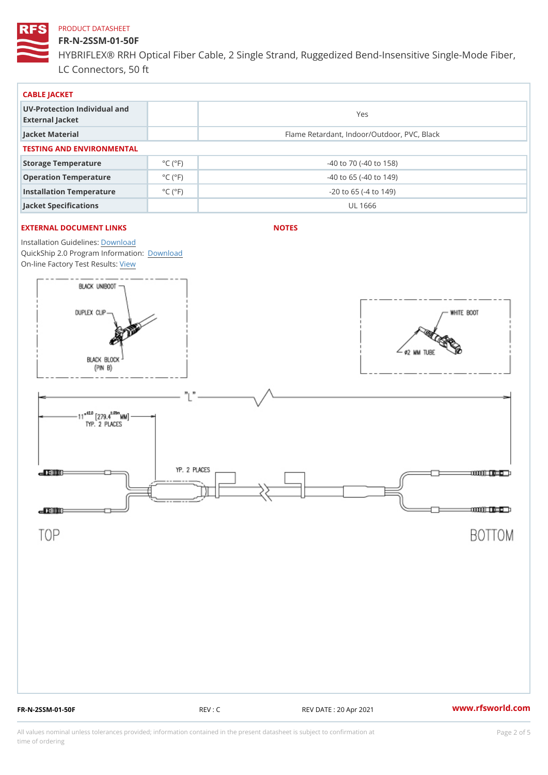# FR-N-2SSM-01-50F

HYBRIFLEX® RRH Optical Fiber Cable, 2 Single Strand, Ruggedized Be LC Connectors, 50 ft

| CABLE JACKET                                    |                             |                                             |  |  |  |  |
|-------------------------------------------------|-----------------------------|---------------------------------------------|--|--|--|--|
| UV-Protection Individual and<br>External Jacket |                             | Yes                                         |  |  |  |  |
| Jacket Material                                 |                             | Flame Retardant, Indoor/Outdoor, PVC, Black |  |  |  |  |
| TESTING AND ENVIRONMENTAL                       |                             |                                             |  |  |  |  |
| Storage Temperature                             | $^{\circ}$ C ( $^{\circ}$ F | $-40$ to $70$ ( $-40$ to $158$ )            |  |  |  |  |
| Operation Temperature                           | $^{\circ}$ C ( $^{\circ}$ F | $-40$ to 65 ( $-40$ to 149)                 |  |  |  |  |
| Installation Temperature                        | $^{\circ}$ C ( $^{\circ}$ F | $-20$ to 65 ( $-4$ to 149)                  |  |  |  |  |
| Jacket Specifications                           |                             | UL 1666                                     |  |  |  |  |

# EXTERNAL DOCUMENT LINKS

NOTES

Installation Guidelwinessad QuickShip 2.0 Program [Informa](http://www.rfsworld.com/images/hybriflex/quickship_program_2.pdf)tion: On-line Factory Te[s](https://www.rfsworld.com/pictures/userfiles/programs/AAST Latest Version.zip)teResults:

FR-N-2SSM-01-50F REV : C REV DATE : 20 Apr 2021 [www.](https://www.rfsworld.com)rfsworld.com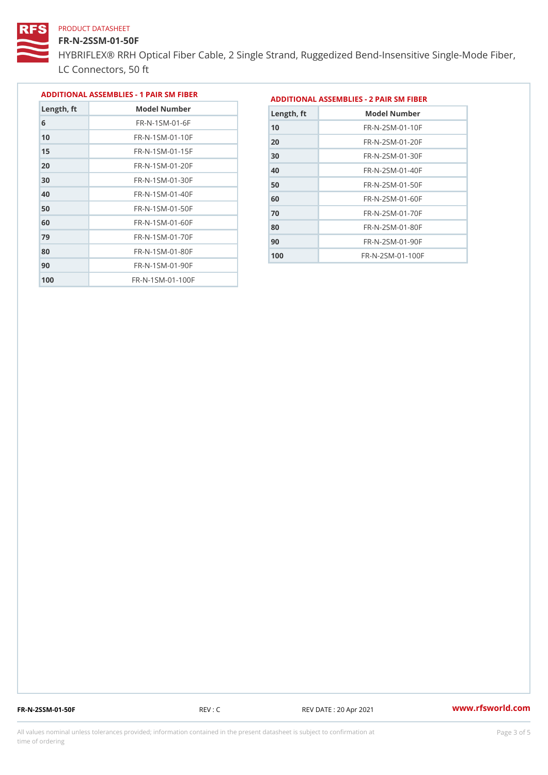### FR-N-2SSM-01-50F

HYBRIFLEX® RRH Optical Fiber Cable, 2 Single Strand, Ruggedized Be LC Connectors, 50 ft

|            |                             |            | ADDITIONAL ASSEMBLIES - 1 PAIR SM FIBE ADDITIONAL ASSEMBLIES - 2 PAIR SM FIBER                                                                                                                                                                                                                                                                                                                                                                                                             |
|------------|-----------------------------|------------|--------------------------------------------------------------------------------------------------------------------------------------------------------------------------------------------------------------------------------------------------------------------------------------------------------------------------------------------------------------------------------------------------------------------------------------------------------------------------------------------|
| Length, ft | Model Number                | Length, ft | Model Number                                                                                                                                                                                                                                                                                                                                                                                                                                                                               |
|            | $FR - N - 1$ S M - 01 - 6 F |            | $\blacksquare$ $\blacksquare$ $\blacksquare$ $\blacksquare$ $\blacksquare$ $\blacksquare$ $\blacksquare$ $\blacksquare$ $\blacksquare$ $\blacksquare$ $\blacksquare$ $\blacksquare$ $\blacksquare$ $\blacksquare$ $\blacksquare$ $\blacksquare$ $\blacksquare$ $\blacksquare$ $\blacksquare$ $\blacksquare$ $\blacksquare$ $\blacksquare$ $\blacksquare$ $\blacksquare$ $\blacksquare$ $\blacksquare$ $\blacksquare$ $\blacksquare$ $\blacksquare$ $\blacksquare$ $\blacksquare$ $\blacks$ |

| 6   | $FR - N - 1 S M - 0 1 - 6 F$ |
|-----|------------------------------|
| 10  | FR-N-1SM-01-10F              |
| 15  | $FR - N - 1$ S M - 01 - 15 F |
| 20  | FR-N-1SM-01-20F              |
| 30  | FR-N-1SM-01-30F              |
| 40  | FR-N-1SM-01-40F              |
| 50  | FR-N-1SM-01-50F              |
| 60  | FR-N-1SM-01-60F              |
| 79  | $FR - N - 1 S M - 01 - 70 F$ |
| 80  | $FR - N - 1$ S M - 01 - 80 F |
| 90  | $FR - N - 1 S M - 01 - 90 F$ |
| 100 | FR-N-1SM-01-100F             |

| Length, ft | Model Number                 |
|------------|------------------------------|
| 10         | FR-N-2SM-01-10F              |
| 20         | FR-N-2SM-01-20F              |
| 30         | $FR - N - 2 SM - 01 - 30 F$  |
| 40         | $FR - N - 2 SM - 01 - 40 F$  |
| 50         | $FR - N - 2 SM - 01 - 50 F$  |
| 60         | $FR - N - 2 S M - 01 - 60 F$ |
| 70         | $FR - N - 2 SM - 01 - 70 F$  |
| 80         | FR-N-2SM-01-80F              |
| 90         | $FR - N - 2 SM - 01 - 90 F$  |
| 100        | $FR - N - 2 SM - 01 - 100 F$ |

FR-N-2SSM-01-50F REV : C REV DATE : 20 Apr 2021 [www.](https://www.rfsworld.com)rfsworld.com

All values nominal unless tolerances provided; information contained in the present datasheet is subject to Pcapgeling that i time of ordering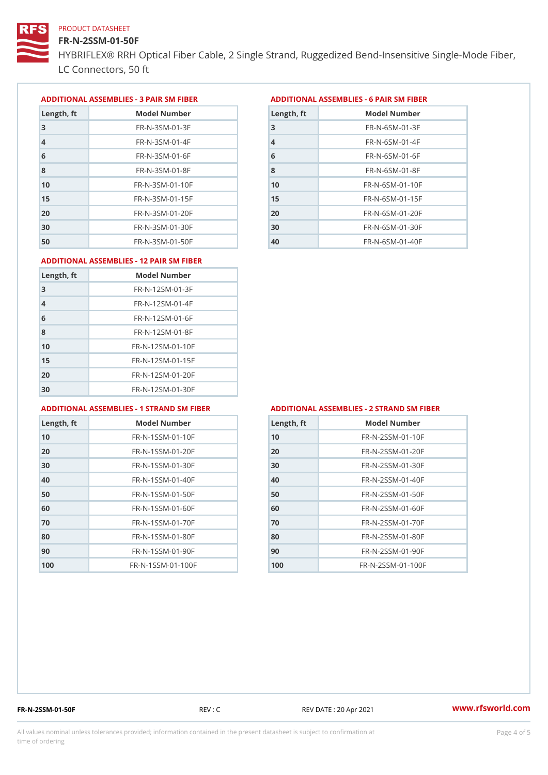# FR-N-2SSM-01-50F

HYBRIFLEX® RRH Optical Fiber Cable, 2 Single Strand, Ruggedized Be LC Connectors, 50 ft

ADDITIONAL ASSEMBLIES - 3 PAIR SM FIBERED DITIONAL ASSEMBLIES - 6 PAIR SM FIBER

| Length, ft     | Model Number                 |
|----------------|------------------------------|
| 3              | $FR - N - 3 S M - 01 - 3 F$  |
| $\overline{4}$ | $FR - N - 3 S M - 01 - 4 F$  |
| 6              | $FR - N - 3 S M - 01 - 6 F$  |
| 8              | FR-N-3SM-01-8F               |
| 10             | $FR - N - 3 S M - 01 - 10 F$ |
| 15             | $FR - N - 3 S M - 01 - 15 F$ |
| 20             | $FR - N - 3 S M - 01 - 20 F$ |
| 30             | $FR - N - 3 S M - 01 - 30 F$ |
| 50             | $FR - N - 3 S M - 01 - 50 F$ |

| Model Number<br>Length, ft   |
|------------------------------|
| $FR - N - 6 S M - 01 - 3 F$  |
| $FR - N - 6$ S M - 01 - 4 F  |
| $FR - N - 6 S M - 01 - 6 F$  |
| $FR - N - 6$ S M - 01 - 8 F  |
| $FR - N - 6$ S M - 01 - 10 F |
| $FR - N - 6$ S M - 01 - 15 F |
| $FR - N - 6 SM - 01 - 20 F$  |
| $FR - N - 6$ S M - 01 - 30 F |
| $FR - N - 6 SM - 01 - 40 F$  |
|                              |

#### ADDITIONAL ASSEMBLIES - 12 PAIR SM FIBER

| Length, ft     | Model Number                 |
|----------------|------------------------------|
| 3              | $FR - N - 12SM - 01 - 3F$    |
| $\overline{4}$ | $FR - N - 12SM - 01 - 4F$    |
| 6              | $FR - N - 12$ S M - 01 - 6 F |
| 8              | $FR - N - 12$ S M - 01 - 8 F |
| 10             | FR-N-12SM-01-10F             |
| 15             | FR-N-12SM-01-15F             |
| 20             | FR-N-12SM-01-20F             |
| 30             | FR-N-12SM-01-30F             |

#### ADDITIONAL ASSEMBLIES - 1 STRAND SM FABSDRTIONAL ASSEMBLIES - 2 STRAND SM FIBER

| Length, ft     | Model Number                   |
|----------------|--------------------------------|
| 1 <sub>0</sub> | $FR - N - 1$ S S M - 01 - 10 F |
| 20             | $FR - N - 1$ S S M - 01 - 20 F |
| 30             | $FR - N - 1$ S S M - 01 - 30 F |
| 40             | $FR - N - 1$ S S M - 01 - 40 F |
| 50             | $FR - N - 1$ S S M - 01 - 50 F |
| 60             | $FR - N - 1$ S S M - 01 - 60 F |
| 70             | FR-N-1SSM-01-70F               |
| 80             | FR-N-1SSM-01-80F               |
| 90             | FR-N-1SSM-01-90F               |
| 100            | FR-N-1SSM-01-100F              |

| Length, ft | Model Number                   |
|------------|--------------------------------|
| 10         | $FR - N - 2 S S M - 01 - 10 F$ |
| 20         | FR-N-2SSM-01-20F               |
| 30         | FR-N-2SSM-01-30F               |
| 40         | FR-N-2SSM-01-40F               |
| 50         | FR-N-2SSM-01-50F               |
| 60         | $FR - N - 2 S S M - 01 - 60 F$ |
| 70         | FR-N-2SSM-01-70F               |
| 80         | FR-N-2SSM-01-80F               |
| 90         | FR-N-2SSM-01-90F               |
| 100        | FR-N-2SSM-01-100F              |

FR-N-2SSM-01-50F REV : C REV DATE : 20 Apr 2021 [www.](https://www.rfsworld.com)rfsworld.com

All values nominal unless tolerances provided; information contained in the present datasheet is subject to Pcapgnéig4m ssti time of ordering